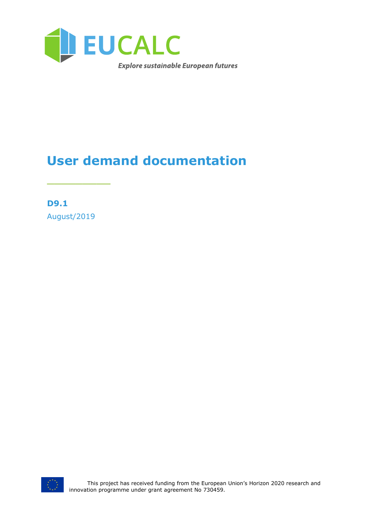

# **User demand documentation**

**D9.1** August/2019

\_\_\_\_\_\_\_\_\_

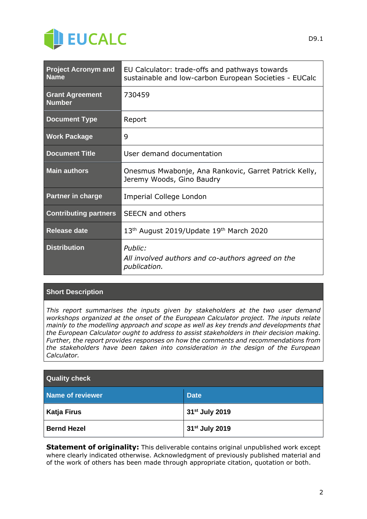

| <b>Project Acronym and</b><br><b>Name</b> | EU Calculator: trade-offs and pathways towards<br>sustainable and low-carbon European Societies - EUCalc |
|-------------------------------------------|----------------------------------------------------------------------------------------------------------|
| <b>Grant Agreement</b><br><b>Number</b>   | 730459                                                                                                   |
| <b>Document Type</b>                      | Report                                                                                                   |
| <b>Work Package</b>                       | 9                                                                                                        |
| <b>Document Title</b>                     | User demand documentation                                                                                |
| <b>Main authors</b>                       | Onesmus Mwabonje, Ana Rankovic, Garret Patrick Kelly,<br>Jeremy Woods, Gino Baudry                       |
| <b>Partner in charge</b>                  | Imperial College London                                                                                  |
| <b>Contributing partners</b>              | <b>SEECN</b> and others                                                                                  |
| <b>Release date</b>                       | 13 <sup>th</sup> August 2019/Update 19 <sup>th</sup> March 2020                                          |
| <b>Distribution</b>                       | Public:<br>All involved authors and co-authors agreed on the<br>publication.                             |

#### **Short Description**

*This report summarises the inputs given by stakeholders at the two user demand workshops organized at the onset of the European Calculator project. The inputs relate mainly to the modelling approach and scope as well as key trends and developments that the European Calculator ought to address to assist stakeholders in their decision making. Further, the report provides responses on how the comments and recommendations from the stakeholders have been taken into consideration in the design of the European Calculator.*

| <b>Quality check</b> |                            |  |
|----------------------|----------------------------|--|
| Name of reviewer     | <b>Date</b>                |  |
| <b>Katja Firus</b>   | 31 <sup>st</sup> July 2019 |  |
| <b>Bernd Hezel</b>   | 31 <sup>st</sup> July 2019 |  |

**Statement of originality:** This deliverable contains original unpublished work except where clearly indicated otherwise. Acknowledgment of previously published material and of the work of others has been made through appropriate citation, quotation or both.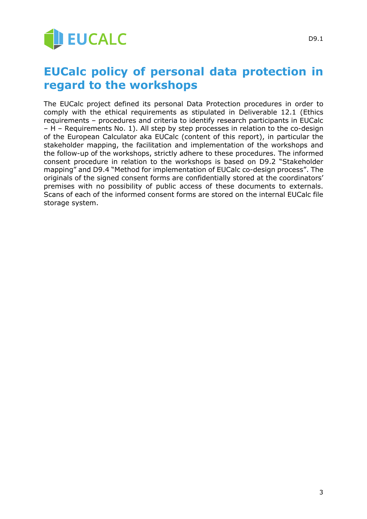

## **EUCalc policy of personal data protection in regard to the workshops**

The EUCalc project defined its personal Data Protection procedures in order to comply with the ethical requirements as stipulated in Deliverable 12.1 (Ethics requirements – procedures and criteria to identify research participants in EUCalc – H – Requirements No. 1). All step by step processes in relation to the co-design of the European Calculator aka EUCalc (content of this report), in particular the stakeholder mapping, the facilitation and implementation of the workshops and the follow-up of the workshops, strictly adhere to these procedures. The informed consent procedure in relation to the workshops is based on D9.2 "Stakeholder mapping" and D9.4 "Method for implementation of EUCalc co-design process". The originals of the signed consent forms are confidentially stored at the coordinators' premises with no possibility of public access of these documents to externals. Scans of each of the informed consent forms are stored on the internal EUCalc file storage system.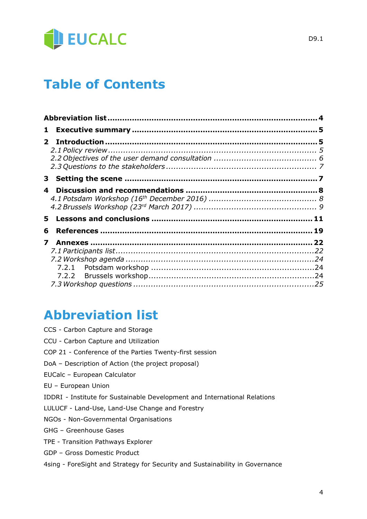

# **Table of Contents**

| 4 |  |
|---|--|
|   |  |
| 6 |  |
| 7 |  |
|   |  |
|   |  |
|   |  |

## **Abbreviation list**

- CCS Carbon Capture and Storage
- CCU Carbon Capture and Utilization
- COP 21 Conference of the Parties Twenty-first session
- DoA Description of Action (the project proposal)
- EUCalc European Calculator
- EU European Union
- IDDRI Institute for Sustainable Development and International Relations
- LULUCF Land-Use, Land-Use Change and Forestry
- NGOs Non-Governmental Organisations
- GHG Greenhouse Gases
- TPE Transition Pathways Explorer
- GDP Gross Domestic Product
- 4sing ForeSight and Strategy for Security and Sustainability in Governance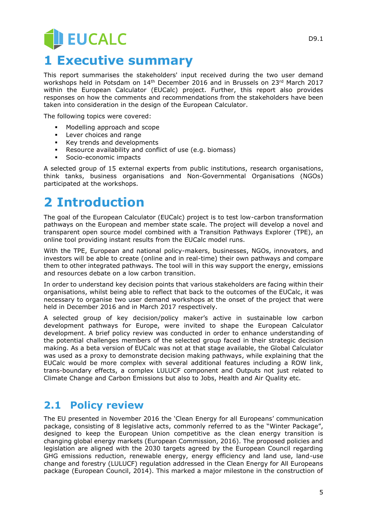# **JEUCALC 1 Executive summary**

This report summarises the stakeholders' input received during the two user demand workshops held in Potsdam on 14<sup>th</sup> December 2016 and in Brussels on 23<sup>rd</sup> March 2017 within the European Calculator (EUCalc) project. Further, this report also provides responses on how the comments and recommendations from the stakeholders have been taken into consideration in the design of the European Calculator.

The following topics were covered:

- Modelling approach and scope
- Lever choices and range
- Key trends and developments
- Resource availability and conflict of use (e.g. biomass)
- Socio-economic impacts

A selected group of 15 external experts from public institutions, research organisations, think tanks, business organisations and Non-Governmental Organisations (NGOs) participated at the workshops.

# **2 Introduction**

The goal of the European Calculator (EUCalc) project is to test low-carbon transformation pathways on the European and member state scale. The project will develop a novel and transparent open source model combined with a Transition Pathways Explorer (TPE), an online tool providing instant results from the EUCalc model runs.

With the TPE, European and national policy-makers, businesses, NGOs, innovators, and investors will be able to create (online and in real-time) their own pathways and compare them to other integrated pathways. The tool will in this way support the energy, emissions and resources debate on a low carbon transition.

In order to understand key decision points that various stakeholders are facing within their organisations, whilst being able to reflect that back to the outcomes of the EUCalc, it was necessary to organise two user demand workshops at the onset of the project that were held in December 2016 and in March 2017 respectively.

A selected group of key decision/policy maker's active in sustainable low carbon development pathways for Europe, were invited to shape the European Calculator development. A brief policy review was conducted in order to enhance understanding of the potential challenges members of the selected group faced in their strategic decision making. As a beta version of EUCalc was not at that stage available, the Global Calculator was used as a proxy to demonstrate decision making pathways, while explaining that the EUCalc would be more complex with several additional features including a ROW link, trans-boundary effects, a complex LULUCF component and Outputs not just related to Climate Change and Carbon Emissions but also to Jobs, Health and Air Quality etc.

### **2.1 Policy review**

The EU presented in November 2016 the 'Clean Energy for all Europeans' communication package, consisting of 8 legislative acts, commonly referred to as the "Winter Package", designed to keep the European Union competitive as the clean energy transition is changing global energy markets (European Commission, 2016). The proposed policies and legislation are aligned with the 2030 targets agreed by the European Council regarding GHG emissions reduction, renewable energy, energy efficiency and land use, land-use change and forestry (LULUCF) regulation addressed in the Clean Energy for All Europeans package (European Council, 2014). This marked a major milestone in the construction of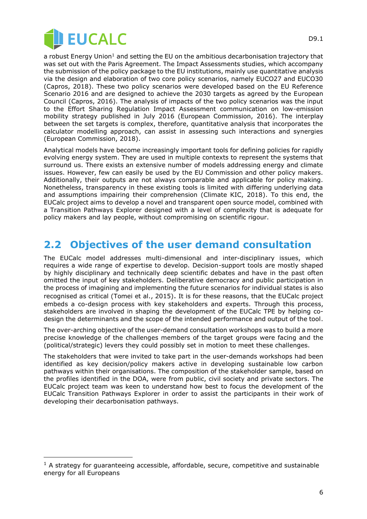

a robust Energy Union<sup>1</sup> and setting the EU on the ambitious decarbonisation trajectory that was set out with the Paris Agreement. The Impact Assessments studies, which accompany the submission of the policy package to the EU institutions, mainly use quantitative analysis via the design and elaboration of two core policy scenarios, namely EUCO27 and EUCO30 (Capros, 2018). These two policy scenarios were developed based on the EU Reference Scenario 2016 and are designed to achieve the 2030 targets as agreed by the European Council (Capros, 2016). The analysis of impacts of the two policy scenarios was the input to the Effort Sharing Regulation Impact Assessment communication on low-emission mobility strategy published in July 2016 (European Commission, 2016). The interplay between the set targets is complex, therefore, quantitative analysis that incorporates the calculator modelling approach, can assist in assessing such interactions and synergies (European Commission, 2018).

Analytical models have become increasingly important tools for defining policies for rapidly evolving energy system. They are used in multiple contexts to represent the systems that surround us. There exists an extensive number of models addressing energy and climate issues. However, few can easily be used by the EU Commission and other policy makers. Additionally, their outputs are not always comparable and applicable for policy making. Nonetheless, transparency in these existing tools is limited with differing underlying data and assumptions impairing their comprehension (Climate KIC, 2018). To this end, the EUCalc project aims to develop a novel and transparent open source model, combined with a Transition Pathways Explorer designed with a level of complexity that is adequate for policy makers and lay people, without compromising on scientific rigour.

#### **2.2 Objectives of the user demand consultation**

The EUCalc model addresses multi-dimensional and inter-disciplinary issues, which requires a wide range of expertise to develop. Decision-support tools are mostly shaped by highly disciplinary and technically deep scientific debates and have in the past often omitted the input of key stakeholders. Deliberative democracy and public participation in the process of imagining and implementing the future scenarios for individual states is also recognised as critical (Tomei et al., 2015). It is for these reasons, that the EUCalc project embeds a co-design process with key stakeholders and experts. Through this process, stakeholders are involved in shaping the development of the EUCalc TPE by helping codesign the determinants and the scope of the intended performance and output of the tool.

The over-arching objective of the user-demand consultation workshops was to build a more precise knowledge of the challenges members of the target groups were facing and the (political/strategic) levers they could possibly set in motion to meet these challenges.

The stakeholders that were invited to take part in the user-demands workshops had been identified as key decision/policy makers active in developing sustainable low carbon pathways within their organisations. The composition of the stakeholder sample, based on the profiles identified in the DOA, were from public, civil society and private sectors. The EUCalc project team was keen to understand how best to focus the development of the EUCalc Transition Pathways Explorer in order to assist the participants in their work of developing their decarbonisation pathways.

 $1$  A strategy for guaranteeing accessible, affordable, secure, competitive and sustainable energy for all Europeans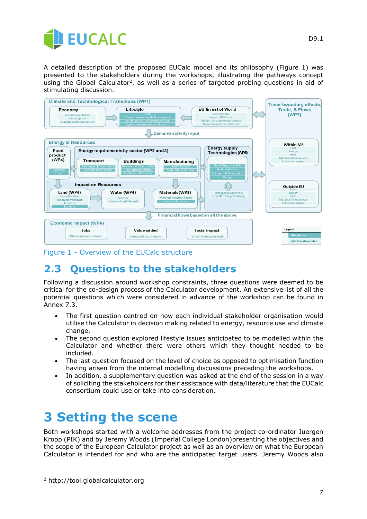

A detailed description of the proposed EUCalc model and its philosophy (Figure 1) was presented to the stakeholders during the workshops, illustrating the pathways concept using the Global Calculator<sup>2</sup>, as well as a series of targeted probing questions in aid of stimulating discussion.



Figure 1 - Overview of the EUCalc structure

### **2.3 Questions to the stakeholders**

Following a discussion around workshop constraints, three questions were deemed to be critical for the co-design process of the Calculator development. An extensive list of all the potential questions which were considered in advance of the workshop can be found in Annex 7.3.

- The first question centred on how each individual stakeholder organisation would utilise the Calculator in decision making related to energy, resource use and climate change.
- The second question explored lifestyle issues anticipated to be modelled within the Calculator and whether there were others which they thought needed to be included.
- The last question focused on the level of choice as opposed to optimisation function having arisen from the internal modelling discussions preceding the workshops.
- In addition, a supplementary question was asked at the end of the session in a way of soliciting the stakeholders for their assistance with data/literature that the EUCalc consortium could use or take into consideration.

# **3 Setting the scene**

Both workshops started with a welcome addresses from the project co-ordinator Juergen Kropp (PIK) and by Jeremy Woods (Imperial College London)presenting the objectives and the scope of the European Calculator project as well as an overview on what the European Calculator is intended for and who are the anticipated target users. Jeremy Woods also

<sup>2</sup> http://tool.globalcalculator.org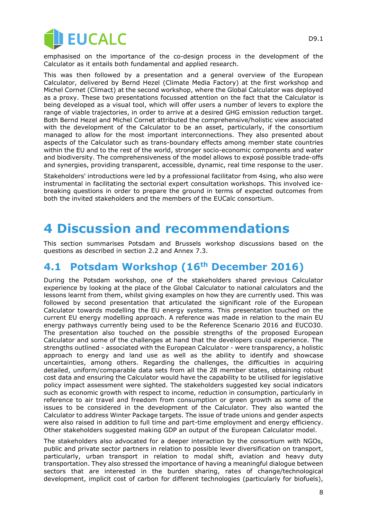

emphasised on the importance of the co-design process in the development of the Calculator as it entails both fundamental and applied research.

This was then followed by a presentation and a general overview of the European Calculator, delivered by Bernd Hezel (Climate Media Factory) at the first workshop and Michel Cornet (Climact) at the second workshop, where the Global Calculator was deployed as a proxy. These two presentations focussed attention on the fact that the Calculator is being developed as a visual tool, which will offer users a number of levers to explore the range of viable trajectories, in order to arrive at a desired GHG emission reduction target. Both Bernd Hezel and Michel Cornet attributed the comprehensive/holistic view associated with the development of the Calculator to be an asset, particularly, if the consortium managed to allow for the most important interconnections. They also presented about aspects of the Calculator such as trans-boundary effects among member state countries within the EU and to the rest of the world, stronger socio-economic components and water and biodiversity. The comprehensiveness of the model allows to exposé possible trade-offs and synergies, providing transparent, accessible, dynamic, real time response to the user.

Stakeholders' introductions were led by a professional facilitator from 4sing, who also were instrumental in facilitating the sectorial expert consultation workshops. This involved icebreaking questions in order to prepare the ground in terms of expected outcomes from both the invited stakeholders and the members of the EUCalc consortium.

# **4 Discussion and recommendations**

This section summarises Potsdam and Brussels workshop discussions based on the questions as described in section 2.2 and Annex 7.3.

### **4.1 Potsdam Workshop (16th December 2016)**

During the Potsdam workshop, one of the stakeholders shared previous Calculator experience by looking at the place of the Global Calculator to national calculators and the lessons learnt from them, whilst giving examples on how they are currently used. This was followed by second presentation that articulated the significant role of the European Calculator towards modelling the EU energy systems. This presentation touched on the current EU energy modelling approach. A reference was made in relation to the main EU energy pathways currently being used to be the Reference Scenario 2016 and EUCO30. The presentation also touched on the possible strengths of the proposed European Calculator and some of the challenges at hand that the developers could experience. The strengths outlined - associated with the European Calculator - were transparency, a holistic approach to energy and land use as well as the ability to identify and showcase uncertainties, among others. Regarding the challenges, the difficulties in acquiring detailed, uniform/comparable data sets from all the 28 member states, obtaining robust cost data and ensuring the Calculator would have the capability to be utilised for legislative policy impact assessment were sighted. The stakeholders suggested key social indicators such as economic growth with respect to income, reduction in consumption, particularly in reference to air travel and freedom from consumption or green growth as some of the issues to be considered in the development of the Calculator. They also wanted the Calculator to address Winter Package targets. The issue of trade unions and gender aspects were also raised in addition to full time and part-time employment and energy efficiency. Other stakeholders suggested making GDP an output of the European Calculator model.

The stakeholders also advocated for a deeper interaction by the consortium with NGOs, public and private sector partners in relation to possible lever diversification on transport, particularly, urban transport in relation to modal shift, aviation and heavy duty transportation. They also stressed the importance of having a meaningful dialogue between sectors that are interested in the burden sharing, rates of change/technological development, implicit cost of carbon for different technologies (particularly for biofuels),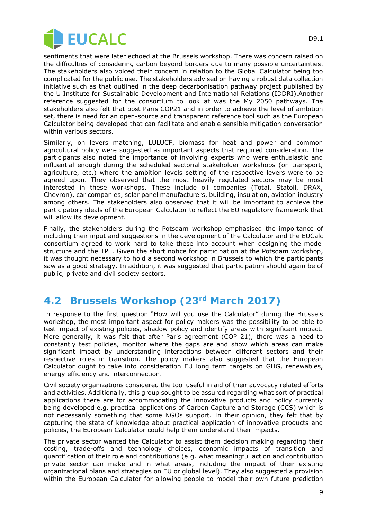

sentiments that were later echoed at the Brussels workshop. There was concern raised on the difficulties of considering carbon beyond borders due to many possible uncertainties. The stakeholders also voiced their concern in relation to the Global Calculator being too complicated for the public use. The stakeholders advised on having a robust data collection initiative such as that outlined in the deep decarbonisation pathway project published by the U Institute for Sustainable Development and International Relations (IDDRI).Another reference suggested for the consortium to look at was the My 2050 pathways. The stakeholders also felt that post Paris COP21 and in order to achieve the level of ambition set, there is need for an open-source and transparent reference tool such as the European Calculator being developed that can facilitate and enable sensible mitigation conversation within various sectors.

Similarly, on levers matching, LULUCF, biomass for heat and power and common agricultural policy were suggested as important aspects that required consideration. The participants also noted the importance of involving experts who were enthusiastic and influential enough during the scheduled sectorial stakeholder workshops (on transport, agriculture, etc.) where the ambition levels setting of the respective levers were to be agreed upon. They observed that the most heavily regulated sectors may be most interested in these workshops. These include oil companies (Total, Statoil, DRAX, Chevron), car companies, solar panel manufacturers, building, insulation, aviation industry among others. The stakeholders also observed that it will be important to achieve the participatory ideals of the European Calculator to reflect the EU regulatory framework that will allow its development.

Finally, the stakeholders during the Potsdam workshop emphasised the importance of including their input and suggestions in the development of the Calculator and the EUCalc consortium agreed to work hard to take these into account when designing the model structure and the TPE. Given the short notice for participation at the Potsdam workshop, it was thought necessary to hold a second workshop in Brussels to which the participants saw as a good strategy. In addition, it was suggested that participation should again be of public, private and civil society sectors.

### **4.2 Brussels Workshop (23rd March 2017)**

In response to the first question "How will you use the Calculator" during the Brussels workshop, the most important aspect for policy makers was the possibility to be able to test impact of existing policies, shadow policy and identify areas with significant impact. More generally, it was felt that after Paris agreement (COP 21), there was a need to constantly test policies, monitor where the gaps are and show which areas can make significant impact by understanding interactions between different sectors and their respective roles in transition. The policy makers also suggested that the European Calculator ought to take into consideration EU long term targets on GHG, renewables, energy efficiency and interconnection.

Civil society organizations considered the tool useful in aid of their advocacy related efforts and activities. Additionally, this group sought to be assured regarding what sort of practical applications there are for accommodating the innovative products and policy currently being developed e.g. practical applications of Carbon Capture and Storage (CCS) which is not necessarily something that some NGOs support. In their opinion, they felt that by capturing the state of knowledge about practical application of innovative products and policies, the European Calculator could help them understand their impacts.

The private sector wanted the Calculator to assist them decision making regarding their costing, trade-offs and technology choices, economic impacts of transition and quantification of their role and contributions (e.g. what meaningful action and contribution private sector can make and in what areas, including the impact of their existing organizational plans and strategies on EU or global level). They also suggested a provision within the European Calculator for allowing people to model their own future prediction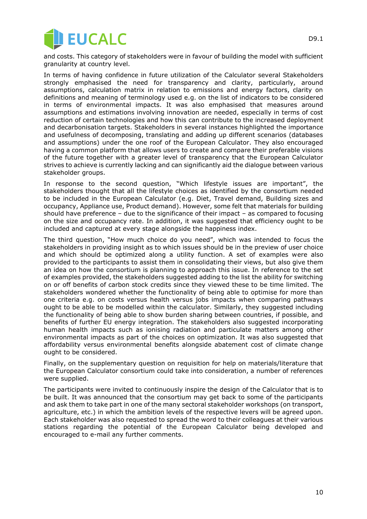

and costs. This category of stakeholders were in favour of building the model with sufficient granularity at country level.

In terms of having confidence in future utilization of the Calculator several Stakeholders strongly emphasised the need for transparency and clarity, particularly, around assumptions, calculation matrix in relation to emissions and energy factors, clarity on definitions and meaning of terminology used e.g. on the list of indicators to be considered in terms of environmental impacts. It was also emphasised that measures around assumptions and estimations involving innovation are needed, especially in terms of cost reduction of certain technologies and how this can contribute to the increased deployment and decarbonisation targets. Stakeholders in several instances highlighted the importance and usefulness of decomposing, translating and adding up different scenarios (databases and assumptions) under the one roof of the European Calculator. They also encouraged having a common platform that allows users to create and compare their preferable visions of the future together with a greater level of transparency that the European Calculator strives to achieve is currently lacking and can significantly aid the dialogue between various stakeholder groups.

In response to the second question, "Which lifestyle issues are important", the stakeholders thought that all the lifestyle choices as identified by the consortium needed to be included in the European Calculator (e.g. Diet, Travel demand, Building sizes and occupancy, Appliance use, Product demand). However, some felt that materials for building should have preference – due to the significance of their impact – as compared to focusing on the size and occupancy rate. In addition, it was suggested that efficiency ought to be included and captured at every stage alongside the happiness index.

The third question, "How much choice do you need", which was intended to focus the stakeholders in providing insight as to which issues should be in the preview of user choice and which should be optimized along a utility function. A set of examples were also provided to the participants to assist them in consolidating their views, but also give them an idea on how the consortium is planning to approach this issue. In reference to the set of examples provided, the stakeholders suggested adding to the list the ability for switching on or off benefits of carbon stock credits since they viewed these to be time limited. The stakeholders wondered whether the functionality of being able to optimise for more than one criteria e.g. on costs versus health versus jobs impacts when comparing pathways ought to be able to be modelled within the calculator. Similarly, they suggested including the functionality of being able to show burden sharing between countries, if possible, and benefits of further EU energy integration. The stakeholders also suggested incorporating human health impacts such as ionising radiation and particulate matters among other environmental impacts as part of the choices on optimization. It was also suggested that affordability versus environmental benefits alongside abatement cost of climate change ought to be considered.

Finally, on the supplementary question on requisition for help on materials/literature that the European Calculator consortium could take into consideration, a number of references were supplied.

The participants were invited to continuously inspire the design of the Calculator that is to be built. It was announced that the consortium may get back to some of the participants and ask them to take part in one of the many sectoral stakeholder workshops (on transport, agriculture, etc.) in which the ambition levels of the respective levers will be agreed upon. Each stakeholder was also requested to spread the word to their colleagues at their various stations regarding the potential of the European Calculator being developed and encouraged to e-mail any further comments.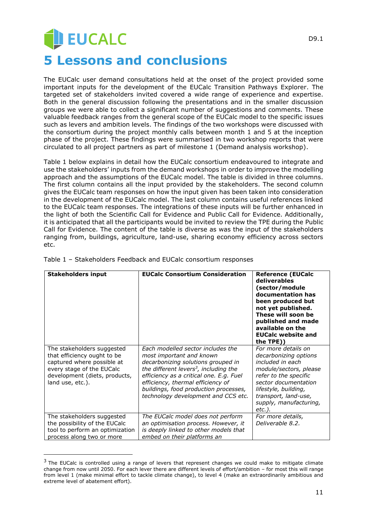# **JEUCALC 5 Lessons and conclusions**

The EUCalc user demand consultations held at the onset of the project provided some important inputs for the development of the EUCalc Transition Pathways Explorer. The targeted set of stakeholders invited covered a wide range of experience and expertise. Both in the general discussion following the presentations and in the smaller discussion groups we were able to collect a significant number of suggestions and comments. These valuable feedback ranges from the general scope of the EUCalc model to the specific issues such as levers and ambition levels. The findings of the two workshops were discussed with the consortium during the project monthly calls between month 1 and 5 at the inception phase of the project. These findings were summarised in two workshop reports that were circulated to all project partners as part of milestone 1 (Demand analysis workshop).

Table 1 below explains in detail how the EUCalc consortium endeavoured to integrate and use the stakeholders' inputs from the demand workshops in order to improve the modelling approach and the assumptions of the EUCalc model. The table is divided in three columns. The first column contains all the input provided by the stakeholders. The second column gives the EUCalc team responses on how the input given has been taken into consideration in the development of the EUCalc model. The last column contains useful references linked to the EUCalc team responses. The integrations of these inputs will be further enhanced in the light of both the Scientific Call for Evidence and Public Call for Evidence. Additionally, it is anticipated that all the participants would be invited to review the TPE during the Public Call for Evidence. The content of the table is diverse as was the input of the stakeholders ranging from, buildings, agriculture, land-use, sharing economy efficiency across sectors etc.

| <b>Stakeholders input</b>                                                                                                                                                 | <b>EUCalc Consortium Consideration</b>                                                                                                                                                                                                                                                                                   | <b>Reference (EUCalc</b><br>deliverables<br>(sector/module<br>documentation has<br>been produced but<br>not yet published.<br>These will soon be<br>published and made<br>available on the<br><b>EUCalc website and</b><br>the TPE)) |
|---------------------------------------------------------------------------------------------------------------------------------------------------------------------------|--------------------------------------------------------------------------------------------------------------------------------------------------------------------------------------------------------------------------------------------------------------------------------------------------------------------------|--------------------------------------------------------------------------------------------------------------------------------------------------------------------------------------------------------------------------------------|
| The stakeholders suggested<br>that efficiency ought to be<br>captured where possible at<br>every stage of the EUCalc<br>development (diets, products,<br>land use, etc.). | Each modelled sector includes the<br>most important and known<br>decarbonizing solutions grouped in<br>the different levers <sup>3</sup> , including the<br>efficiency as a critical one. E.g. Fuel<br>efficiency, thermal efficiency of<br>buildings, food production processes,<br>technology development and CCS etc. | For more details on<br>decarbonizing options<br>included in each<br>module/sectors, please<br>refer to the specific<br>sector documentation<br>lifestyle, building,<br>transport, land-use,<br>supply, manufacturing,<br>etc.).      |
| The stakeholders suggested<br>the possibility of the EUCalc<br>tool to perform an optimization<br>process along two or more                                               | The EUCalc model does not perform<br>an optimisation process. However, it<br>is deeply linked to other models that<br>embed on their platforms an                                                                                                                                                                        | For more details,<br>Deliverable 8.2.                                                                                                                                                                                                |

#### Table 1 – Stakeholders Feedback and EUCalc consortium responses

 $3$  The EUCalc is controlled using a range of levers that represent changes we could make to mitigate climate change from now until 2050. For each lever there are different levels of effort/ambition – for most this will range from level 1 (make minimal effort to tackle climate change), to level 4 (make an extraordinarily ambitious and extreme level of abatement effort).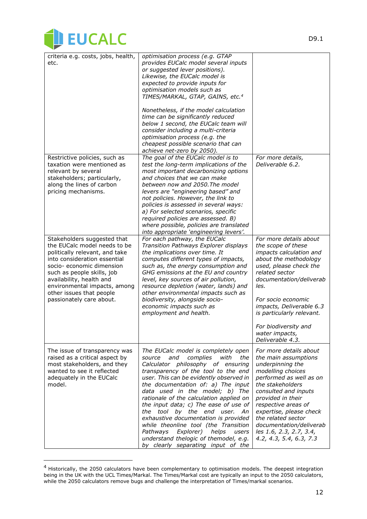

| criteria e.g. costs, jobs, health,<br>etc.                                                                                                                                                                                                                                                                   | optimisation process (e.g. GTAP<br>provides EUCalc model several inputs<br>or suggested lever positions).<br>Likewise, the EUCalc model is<br>expected to provide inputs for<br>optimisation models such as<br>TIMES/MARKAL, GTAP, GAINS, etc. <sup>4</sup><br>Nonetheless, if the model calculation<br>time can be significantly reduced<br>below 1 second, the EUCalc team will<br>consider including a multi-criteria                                                                                                                                                                                     |                                                                                                                                                                                                                                                                                                                                              |
|--------------------------------------------------------------------------------------------------------------------------------------------------------------------------------------------------------------------------------------------------------------------------------------------------------------|--------------------------------------------------------------------------------------------------------------------------------------------------------------------------------------------------------------------------------------------------------------------------------------------------------------------------------------------------------------------------------------------------------------------------------------------------------------------------------------------------------------------------------------------------------------------------------------------------------------|----------------------------------------------------------------------------------------------------------------------------------------------------------------------------------------------------------------------------------------------------------------------------------------------------------------------------------------------|
|                                                                                                                                                                                                                                                                                                              | optimisation process (e.g. the<br>cheapest possible scenario that can<br>achieve net-zero by 2050).                                                                                                                                                                                                                                                                                                                                                                                                                                                                                                          |                                                                                                                                                                                                                                                                                                                                              |
| Restrictive policies, such as<br>taxation were mentioned as<br>relevant by several<br>stakeholders; particularly,<br>along the lines of carbon<br>pricing mechanisms.                                                                                                                                        | The goal of the EUCalc model is to<br>test the long-term implications of the<br>most important decarbonizing options<br>and choices that we can make<br>between now and 2050. The model<br>levers are "engineering based" and<br>not policies. However, the link to<br>policies is assessed in several ways:<br>a) For selected scenarios, specific<br>required policies are assessed. B)<br>where possible, policies are translated<br>into appropriate 'engineering levers'.                                                                                                                               | For more details,<br>Deliverable 6.2.                                                                                                                                                                                                                                                                                                        |
| Stakeholders suggested that<br>the EUCalc model needs to be<br>politically relevant, and take<br>into consideration essential<br>socio- economic dimension<br>such as people skills, job<br>availability, health and<br>environmental impacts, among<br>other issues that people<br>passionately care about. | For each pathway, the EUCalc<br>Transition Pathways Explorer displays<br>the implications over time. It<br>computes different types of impacts,<br>such as, the energy consumption and<br>GHG emissions at the EU and country<br>level, key sources of air pollution,<br>resource depletion (water, lands) and<br>other environmental impacts such as<br>biodiversity, alongside socio-<br>economic impacts such as<br>employment and health.                                                                                                                                                                | For more details about<br>the scope of these<br>impacts calculation and<br>about the methodology<br>used, please check the<br>related sector<br>documentation/deliverab<br>les.<br>For socio economic<br>impacts, Deliverable 6.3<br>is particularly relevant.                                                                               |
|                                                                                                                                                                                                                                                                                                              |                                                                                                                                                                                                                                                                                                                                                                                                                                                                                                                                                                                                              | For biodiversity and<br>water impacts,<br>Deliverable 4.3.                                                                                                                                                                                                                                                                                   |
| The issue of transparency was<br>raised as a critical aspect by<br>most stakeholders, and they<br>wanted to see it reflected<br>adequately in the EUCalc<br>model.                                                                                                                                           | The EUCalc model is completely open<br>complies<br>and<br>with<br>the<br>source<br>Calculator philosophy of ensuring<br>transparency of the tool to the end<br>user. This can be evidently observed in<br>the documentation of: a) The input<br>data used in the model; b) The<br>rationale of the calculation applied on<br>the input data; c) The ease of use of<br>the tool by the end user. An<br>exhaustive documentation is provided<br>while theonline tool (the Transition<br>Pathways<br>Explorer)<br>helps<br>users<br>understand thelogic of themodel, e.g.<br>by clearly separating input of the | For more details about<br>the main assumptions<br>underpinning the<br>modelling choices<br>performed as well as on<br>the stakeholders<br>consulted and inputs<br>provided in their<br>respective areas of<br>expertise, please check<br>the related sector<br>documentation/deliverab<br>les 1.6, 2.3, 2.7, 3.4,<br>4.2, 4.3, 5.4, 6.3, 7.3 |

<sup>&</sup>lt;sup>4</sup> Historically, the 2050 calculators have been complementary to optimisation models. The deepest integration being in the UK with the UCL Times/Markal. The Times/Markal cost are typically an input to the 2050 calculators, while the 2050 calculators remove bugs and challenge the interpretation of Times/markal scenarios.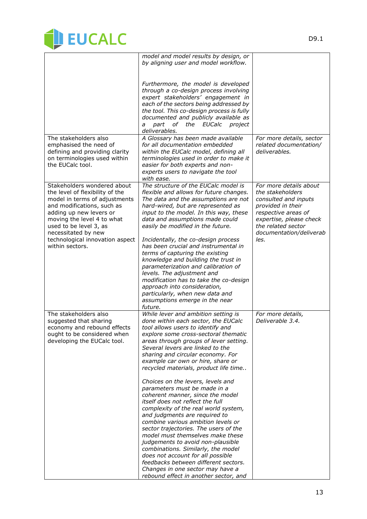

|                                                                                                                                                                                                                                                                                               | model and model results by design, or<br>by aligning user and model workflow.                                                                                                                                                                                                                                                                                                                                                                                                                                                                                                                                                                                                                                                                                                                                                                                                                                                          |                                                                                                                                                                                                    |
|-----------------------------------------------------------------------------------------------------------------------------------------------------------------------------------------------------------------------------------------------------------------------------------------------|----------------------------------------------------------------------------------------------------------------------------------------------------------------------------------------------------------------------------------------------------------------------------------------------------------------------------------------------------------------------------------------------------------------------------------------------------------------------------------------------------------------------------------------------------------------------------------------------------------------------------------------------------------------------------------------------------------------------------------------------------------------------------------------------------------------------------------------------------------------------------------------------------------------------------------------|----------------------------------------------------------------------------------------------------------------------------------------------------------------------------------------------------|
|                                                                                                                                                                                                                                                                                               | Furthermore, the model is developed<br>through a co-design process involving<br>expert stakeholders' engagement in<br>each of the sectors being addressed by<br>the tool. This co-design process is fully<br>documented and publicly available as<br>of the EUCalc<br>part<br>project<br>а<br>deliverables.                                                                                                                                                                                                                                                                                                                                                                                                                                                                                                                                                                                                                            |                                                                                                                                                                                                    |
| The stakeholders also<br>emphasised the need of<br>defining and providing clarity<br>on terminologies used within<br>the EUCalc tool.                                                                                                                                                         | A Glossary has been made available<br>for all documentation embedded<br>within the EUCalc model, defining all<br>terminologies used in order to make it<br>easier for both experts and non-<br>experts users to navigate the tool<br>with ease.                                                                                                                                                                                                                                                                                                                                                                                                                                                                                                                                                                                                                                                                                        | For more details, sector<br>related documentation/<br>deliverables.                                                                                                                                |
| Stakeholders wondered about<br>the level of flexibility of the<br>model in terms of adjustments<br>and modifications, such as<br>adding up new levers or<br>moving the level 4 to what<br>used to be level 3, as<br>necessitated by new<br>technological innovation aspect<br>within sectors. | The structure of the EUCalc model is<br>flexible and allows for future changes.<br>The data and the assumptions are not<br>hard-wired, but are represented as<br>input to the model. In this way, these<br>data and assumptions made could<br>easily be modified in the future.<br>Incidentally, the co-design process<br>has been crucial and instrumental in<br>terms of capturing the existing<br>knowledge and building the trust in<br>parameterization and calibration of<br>levels. The adjustment and<br>modification has to take the co-design<br>approach into consideration,<br>particularly, when new data and<br>assumptions emerge in the near<br>future.                                                                                                                                                                                                                                                                | For more details about<br>the stakeholders<br>consulted and inputs<br>provided in their<br>respective areas of<br>expertise, please check<br>the related sector<br>documentation/deliverab<br>les. |
| The stakeholders also<br>suggested that sharing<br>economy and rebound effects<br>ought to be considered when<br>developing the EUCalc tool.                                                                                                                                                  | While lever and ambition setting is<br>done within each sector, the EUCalc<br>tool allows users to identify and<br>explore some cross-sectoral thematic<br>areas through groups of lever setting.<br>Several levers are linked to the<br>sharing and circular economy. For<br>example car own or hire, share or<br>recycled materials, product life time<br>Choices on the levers, levels and<br>parameters must be made in a<br>coherent manner, since the model<br>itself does not reflect the full<br>complexity of the real world system,<br>and judgments are required to<br>combine various ambition levels or<br>sector trajectories. The users of the<br>model must themselves make these<br>judgements to avoid non-plausible<br>combinations. Similarly, the model<br>does not account for all possible<br>feedbacks between different sectors.<br>Changes in one sector may have a<br>rebound effect in another sector, and | For more details,<br>Deliverable 3.4.                                                                                                                                                              |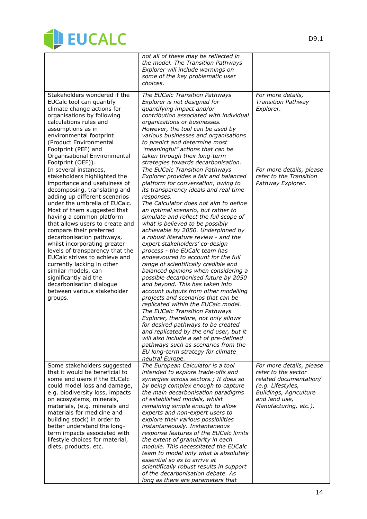

|                                                                                                                                                                                                                                                                                                                                                                                                                                                                                                                                                                                                       | not all of these may be reflected in<br>the model. The Transition Pathways<br>Explorer will include warnings on<br>some of the key problematic user<br>choices.                                                                                                                                                                                                                                                                                                                                                                                                                                                                                                                                                                                                                                                                                                                                                                                                                                                                                                                                              |                                                                                                                                                                           |
|-------------------------------------------------------------------------------------------------------------------------------------------------------------------------------------------------------------------------------------------------------------------------------------------------------------------------------------------------------------------------------------------------------------------------------------------------------------------------------------------------------------------------------------------------------------------------------------------------------|--------------------------------------------------------------------------------------------------------------------------------------------------------------------------------------------------------------------------------------------------------------------------------------------------------------------------------------------------------------------------------------------------------------------------------------------------------------------------------------------------------------------------------------------------------------------------------------------------------------------------------------------------------------------------------------------------------------------------------------------------------------------------------------------------------------------------------------------------------------------------------------------------------------------------------------------------------------------------------------------------------------------------------------------------------------------------------------------------------------|---------------------------------------------------------------------------------------------------------------------------------------------------------------------------|
| Stakeholders wondered if the<br>EUCalc tool can quantify<br>climate change actions for<br>organisations by following<br>calculations rules and<br>assumptions as in<br>environmental footprint<br>(Product Environmental<br>Footprint (PEF) and<br>Organisational Environmental<br>Footprint (OEF)).                                                                                                                                                                                                                                                                                                  | The EUCalc Transition Pathways<br>Explorer is not designed for<br>quantifying impact and/or<br>contribution associated with individual<br>organizations or businesses.<br>However, the tool can be used by<br>various businesses and organisations<br>to predict and determine most<br>"meaningful" actions that can be<br>taken through their long-term<br>strategies towards decarbonisation.                                                                                                                                                                                                                                                                                                                                                                                                                                                                                                                                                                                                                                                                                                              | For more details,<br><b>Transition Pathway</b><br>Explorer.                                                                                                               |
| In several instances,<br>stakeholders highlighted the<br>importance and usefulness of<br>decomposing, translating and<br>adding up different scenarios<br>under the umbrella of EUCalc.<br>Most of them suggested that<br>having a common platform<br>that allows users to create and<br>compare their preferred<br>decarbonisation pathways,<br>whilst incorporating greater<br>levels of transparency that the<br>EUCalc strives to achieve and<br>currently lacking in other<br>similar models, can<br>significantly aid the<br>decarbonisation dialogue<br>between various stakeholder<br>groups. | The EUCalc Transition Pathways<br>Explorer provides a fair and balanced<br>platform for conversation, owing to<br>its transparency ideals and real time<br>responses.<br>The Calculator does not aim to define<br>an optimal scenario, but rather to<br>simulate and reflect the full scope of<br>what is believed to be possibly<br>achievable by 2050. Underpinned by<br>a robust literature review - and the<br>expert stakeholders' co-design<br>process - the EUCalc team has<br>endeavoured to account for the full<br>range of scientifically credible and<br>balanced opinions when considering a<br>possible decarbonised future by 2050<br>and beyond. This has taken into<br>account outputs from other modelling<br>projects and scenarios that can be<br>replicated within the EUCalc model.<br>The EUCalc Transition Pathways<br>Explorer, therefore, not only allows<br>for desired pathways to be created<br>and replicated by the end user, but it<br>will also include a set of pre-defined<br>pathways such as scenarios from the<br>EU long-term strategy for climate<br>neutral Europe. | For more details, please<br>refer to the Transition<br>Pathway Explorer.                                                                                                  |
| Some stakeholders suggested<br>that it would be beneficial to<br>some end users if the EUCalc<br>could model loss and damage,<br>e.g. biodiversity loss, impacts<br>on ecosystems, minerals,<br>materials, (e.g. minerals and<br>materials for medicine and<br>building stock) in order to<br>better understand the long-<br>term impacts associated with<br>lifestyle choices for material,<br>diets, products, etc.                                                                                                                                                                                 | The European Calculator is a tool<br>intended to explore trade-offs and<br>synergies across sectors.; It does so<br>by being complex enough to capture<br>the main decarbonisation paradigms<br>of established models, whilst<br>remaining simple enough to allow<br>experts and non-expert users to<br>explore their various possibilities<br>instantaneously. Instantaneous<br>response features of the EUCalc limits<br>the extent of granularity in each<br>module. This necessitated the EUCalc<br>team to model only what is absolutely<br>essential so as to arrive at<br>scientifically robust results in support<br>of the decarbonisation debate. As<br>long as there are parameters that                                                                                                                                                                                                                                                                                                                                                                                                          | For more details, please<br>refer to the sector<br>related documentation/<br>(e.g. Lifestyles,<br><b>Buildings, Agriculture</b><br>and land use,<br>Manufacturing, etc.). |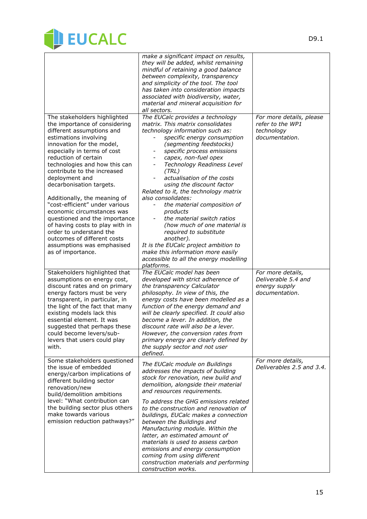

|                                                                                                                                                                                                                                                                                                                                                                                                                                                                                                                                                                                                        | make a significant impact on results,<br>they will be added, whilst remaining<br>mindful of retaining a good balance<br>between complexity, transparency<br>and simplicity of the tool. The tool<br>has taken into consideration impacts<br>associated with biodiversity, water,<br>material and mineral acquisition for<br>all sectors.                                                                                                                                                                                                                                                                                                                                                                 |                                                                              |
|--------------------------------------------------------------------------------------------------------------------------------------------------------------------------------------------------------------------------------------------------------------------------------------------------------------------------------------------------------------------------------------------------------------------------------------------------------------------------------------------------------------------------------------------------------------------------------------------------------|----------------------------------------------------------------------------------------------------------------------------------------------------------------------------------------------------------------------------------------------------------------------------------------------------------------------------------------------------------------------------------------------------------------------------------------------------------------------------------------------------------------------------------------------------------------------------------------------------------------------------------------------------------------------------------------------------------|------------------------------------------------------------------------------|
| The stakeholders highlighted<br>the importance of considering<br>different assumptions and<br>estimations involving<br>innovation for the model,<br>especially in terms of cost<br>reduction of certain<br>technologies and how this can<br>contribute to the increased<br>deployment and<br>decarbonisation targets.<br>Additionally, the meaning of<br>"cost-efficient" under various<br>economic circumstances was<br>questioned and the importance<br>of having costs to play with in<br>order to understand the<br>outcomes of different costs<br>assumptions was emphasised<br>as of importance. | The EUCalc provides a technology<br>matrix. This matrix consolidates<br>technology information such as:<br>specific energy consumption<br>(segmenting feedstocks)<br>specific process emissions<br>capex, non-fuel opex<br>Technology Readiness Level<br>$\overline{\phantom{a}}$<br>(TRL)<br>actualisation of the costs<br>using the discount factor<br>Related to it, the technology matrix<br>also consolidates:<br>the material composition of<br>products<br>the material switch ratios<br>(how much of one material is<br>required to substitute<br>another).<br>It is the EUCalc project ambition to<br>make this information more easily<br>accessible to all the energy modelling<br>platforms. | For more details, please<br>refer to the WP1<br>technology<br>documentation. |
| Stakeholders highlighted that<br>assumptions on energy cost,<br>discount rates and on primary<br>energy factors must be very<br>transparent, in particular, in<br>the light of the fact that many<br>existing models lack this<br>essential element. It was<br>suggested that perhaps these<br>could become levers/sub-<br>levers that users could play<br>with.                                                                                                                                                                                                                                       | The EUCalc model has been<br>developed with strict adherence of<br>the transparency Calculator<br>philosophy. In view of this, the<br>energy costs have been modelled as a<br>function of the energy demand and<br>will be clearly specified. It could also<br>become a lever. In addition, the<br>discount rate will also be a lever.<br>However, the conversion rates from<br>primary energy are clearly defined by<br>the supply sector and not user<br>defined.                                                                                                                                                                                                                                      | For more details,<br>Deliverable 5.4 and<br>energy supply<br>documentation.  |
| Some stakeholders questioned<br>the issue of embedded<br>energy/carbon implications of<br>different building sector<br>renovation/new<br>build/demolition ambitions<br>level: "What contribution can<br>the building sector plus others<br>make towards various<br>emission reduction pathways?"                                                                                                                                                                                                                                                                                                       | The EUCalc module on Buildings<br>addresses the impacts of building<br>stock for renovation, new build and<br>demolition, alongside their material<br>and resources requirements.<br>To address the GHG emissions related<br>to the construction and renovation of<br>buildings, EUCalc makes a connection<br>between the Buildings and<br>Manufacturing module. Within the<br>latter, an estimated amount of<br>materials is used to assess carbon<br>emissions and energy consumption<br>coming from using different<br>construction materials and performing<br>construction works.                                                                                                                   | For more details,<br>Deliverables 2.5 and 3.4.                               |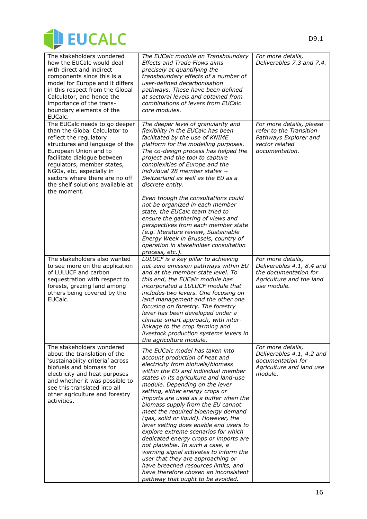

| The stakeholders wondered<br>how the EUCalc would deal<br>with direct and indirect<br>components since this is a<br>model for Europe and it differs<br>in this respect from the Global<br>Calculator, and hence the<br>importance of the trans-                                                                                   | The EUCalc module on Transboundary<br><b>Effects and Trade Flows aims</b><br>precisely at quantifying the<br>transboundary effects of a number of<br>user-defined decarbonisation<br>pathways. These have been defined<br>at sectoral levels and obtained from<br>combinations of levers from EUCalc                                                                                                                                                                                                                                                                                                                                                                                                                                                                                       | For more details,<br>Deliverables 7.3 and 7.4.                                                                     |
|-----------------------------------------------------------------------------------------------------------------------------------------------------------------------------------------------------------------------------------------------------------------------------------------------------------------------------------|--------------------------------------------------------------------------------------------------------------------------------------------------------------------------------------------------------------------------------------------------------------------------------------------------------------------------------------------------------------------------------------------------------------------------------------------------------------------------------------------------------------------------------------------------------------------------------------------------------------------------------------------------------------------------------------------------------------------------------------------------------------------------------------------|--------------------------------------------------------------------------------------------------------------------|
| boundary elements of the<br>EUCalc.                                                                                                                                                                                                                                                                                               | core modules.                                                                                                                                                                                                                                                                                                                                                                                                                                                                                                                                                                                                                                                                                                                                                                              |                                                                                                                    |
| The EUCalc needs to go deeper<br>than the Global Calculator to<br>reflect the regulatory<br>structures and language of the<br>European Union and to<br>facilitate dialogue between<br>regulators, member states,<br>NGOs, etc. especially in<br>sectors where there are no off<br>the shelf solutions available at<br>the moment. | The deeper level of granularity and<br>flexibility in the EUCalc has been<br>facilitated by the use of KNIME<br>platform for the modelling purposes.<br>The co-design process has helped the<br>project and the tool to capture<br>complexities of Europe and the<br>individual 28 member states +<br>Switzerland as well as the EU as a<br>discrete entity.                                                                                                                                                                                                                                                                                                                                                                                                                               | For more details, please<br>refer to the Transition<br>Pathways Explorer and<br>sector related<br>documentation.   |
|                                                                                                                                                                                                                                                                                                                                   | Even though the consultations could<br>not be organized in each member<br>state, the EUCalc team tried to<br>ensure the gathering of views and<br>perspectives from each member state<br>(e.g. literature review, Sustainable<br>Energy Week in Brussels, country of<br>operation in stakeholder consultation<br>process, etc.).                                                                                                                                                                                                                                                                                                                                                                                                                                                           |                                                                                                                    |
| The stakeholders also wanted<br>to see more on the application<br>of LULUCF and carbon<br>sequestration with respect to<br>forests, grazing land among<br>others being covered by the<br>EUCalc.                                                                                                                                  | LULUCF is a key pillar to achieving<br>net-zero emission pathways within EU<br>and at the member state level. To<br>this end, the EUCalc module has<br>incorporated a LULUCF module that<br>includes two levers. One focusing on<br>land management and the other one<br>focusing on forestry. The forestry<br>lever has been developed under a<br>climate-smart approach, with inter-<br>linkage to the crop farming and<br>livestock production systems levers in<br>the agriculture module.                                                                                                                                                                                                                                                                                             | For more details,<br>Deliverables 4.1, 8.4 and<br>the documentation for<br>Agriculture and the land<br>use module. |
| The stakeholders wondered<br>about the translation of the<br>'sustainability criteria' across<br>biofuels and biomass for<br>electricity and heat purposes<br>and whether it was possible to<br>see this translated into all<br>other agriculture and forestry<br>activities.                                                     | The EUCalc model has taken into<br>account production of heat and<br>electricity from biofuels/biomass<br>within the EU and individual member<br>states in its agriculture and land-use<br>module. Depending on the lever<br>setting, either energy crops or<br>imports are used as a buffer when the<br>biomass supply from the EU cannot<br>meet the required bioenergy demand<br>(gas, solid or liquid). However, the<br>lever setting does enable end users to<br>explore extreme scenarios for which<br>dedicated energy crops or imports are<br>not plausible. In such a case, a<br>warning signal activates to inform the<br>user that they are approaching or<br>have breached resources limits, and<br>have therefore chosen an inconsistent<br>pathway that ought to be avoided. | For more details,<br>Deliverables 4.1, 4.2 and<br>documentation for<br>Agriculture and land use<br>module.         |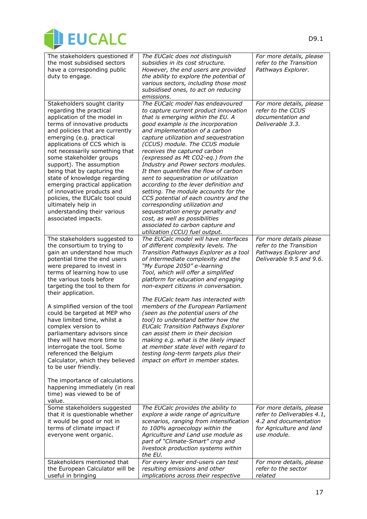

| The stakeholders questioned if<br>the most subsidised sectors<br>have a corresponding public<br>duty to engage.                                                                                                                                                                                                                                                                                                                                                                                                                                                                                                                                                                           | The EUCalc does not distinguish<br>subsidies in its cost structure.<br>However, the end users are provided<br>the ability to explore the potential of<br>various sectors, including those most<br>subsidised ones, to act on reducing<br>emissions.                                                                                                                                                                                                                                                                                                                                                                                                                                                                                                                   | For more details, please<br>refer to the Transition<br>Pathways Explorer.                                                  |
|-------------------------------------------------------------------------------------------------------------------------------------------------------------------------------------------------------------------------------------------------------------------------------------------------------------------------------------------------------------------------------------------------------------------------------------------------------------------------------------------------------------------------------------------------------------------------------------------------------------------------------------------------------------------------------------------|-----------------------------------------------------------------------------------------------------------------------------------------------------------------------------------------------------------------------------------------------------------------------------------------------------------------------------------------------------------------------------------------------------------------------------------------------------------------------------------------------------------------------------------------------------------------------------------------------------------------------------------------------------------------------------------------------------------------------------------------------------------------------|----------------------------------------------------------------------------------------------------------------------------|
| Stakeholders sought clarity<br>regarding the practical<br>application of the model in<br>terms of innovative products<br>and policies that are currently<br>emerging (e.g. practical<br>applications of CCS which is<br>not necessarily something that<br>some stakeholder groups<br>support). The assumption<br>being that by capturing the<br>state of knowledge regarding<br>emerging practical application<br>of innovative products and<br>policies, the EUCalc tool could<br>ultimately help in<br>understanding their various<br>associated impacts.                                                                                                                               | The EUCalc model has endeavoured<br>to capture current product innovation<br>that is emerging within the EU. A<br>good example is the incorporation<br>and implementation of a carbon<br>capture utilization and sequestration<br>(CCUS) module. The CCUS module<br>receives the captured carbon<br>(expressed as Mt CO2-eq.) from the<br>Industry and Power sectors modules.<br>It then quantifies the flow of carbon<br>sent to sequestration or utilization<br>according to the lever definition and<br>setting. The module accounts for the<br>CCS potential of each country and the<br>corresponding utilization and<br>sequestration energy penalty and<br>cost, as well as possibilities<br>associated to carbon capture and<br>utilization (CCU) fuel output. | For more details, please<br>refer to the CCUS<br>documentation and<br>Deliverable 3.3.                                     |
| The stakeholders suggested to<br>the consortium to trying to<br>gain an understand how much<br>potential time the end users<br>were prepared to invest in<br>terms of learning how to use<br>the various tools before<br>targeting the tool to them for<br>their application.<br>A simplified version of the tool<br>could be targeted at MEP who<br>have limited time, whilst a<br>complex version to<br>parliamentary advisors since<br>they will have more time to<br>interrogate the tool. Some<br>referenced the Belgium<br>Calculator, which they believed<br>to be user friendly.<br>The importance of calculations<br>happening immediately (in real<br>time) was viewed to be of | The EUCalc model will have interfaces<br>of different complexity levels. The<br>Transition Pathways Explorer as a tool<br>of intermediate complexity and the<br>"My Europe 2050" e-learning<br>Tool, which will offer a simplified<br>platform for education and engaging<br>non-expert citizens in conversation.<br>The EUCalc team has interacted with<br>members of the European Parliament<br>(seen as the potential users of the<br>tool) to understand better how the<br><b>EUCalc Transition Pathways Explorer</b><br>can assist them in their decision<br>making e.g. what is the likely impact<br>at member state level with regard to<br>testing long-term targets plus their<br>impact on effort in member states.                                         | For more details please<br>refer to the Transition<br>Pathways Explorer and<br>Deliverable 9.5 and 9.6.                    |
| value.<br>Some stakeholders suggested<br>that it is questionable whether<br>it would be good or not in<br>terms of climate impact if<br>everyone went organic.                                                                                                                                                                                                                                                                                                                                                                                                                                                                                                                            | The EUCalc provides the ability to<br>explore a wide range of agriculture<br>scenarios, ranging from intensification<br>to 100% agroecology within the<br>Agriculture and Land use module as<br>part of "Climate-Smart" crop and<br>livestock production systems within<br>the EU.                                                                                                                                                                                                                                                                                                                                                                                                                                                                                    | For more details, please<br>refer to Deliverables 4.1,<br>4.2 and documentation<br>for Agriculture and land<br>use module. |
| Stakeholders mentioned that<br>the European Calculator will be<br>useful in bringing                                                                                                                                                                                                                                                                                                                                                                                                                                                                                                                                                                                                      | For every lever end-users can test<br>resulting emissions and other<br>implications across their respective                                                                                                                                                                                                                                                                                                                                                                                                                                                                                                                                                                                                                                                           | For more details, please<br>refer to the sector<br>related                                                                 |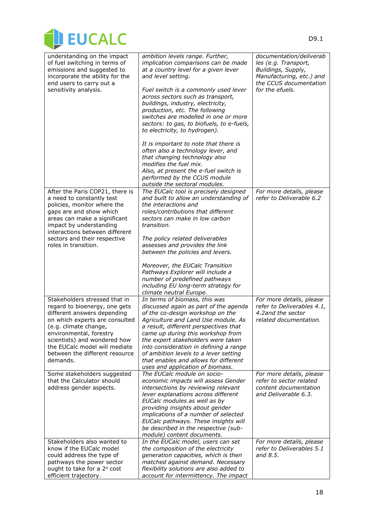

| understanding on the impact<br>of fuel switching in terms of<br>emissions and suggested to<br>incorporate the ability for the<br>end users to carry out a<br>sensitivity analysis.                                                                                                                 | ambition levels range. Further,<br>implication comparisons can be made<br>at a country level for a given lever<br>and level setting.<br>Fuel switch is a commonly used lever<br>across sectors such as transport,<br>buildings, industry, electricity,<br>production, etc. The following<br>switches are modelled in one or more<br>sectors: to gas, to biofuels, to e-fuels,<br>to electricity, to hydrogen).<br>It is important to note that there is<br>often also a technology lever, and<br>that changing technology also<br>modifies the fuel mix.<br>Also, at present the e-fuel switch is<br>performed by the CCUS module<br>outside the sectoral modules. | documentation/deliverab<br>les (e.g. Transport,<br>Buildings, Supply,<br>Manufacturing, etc.) and<br>the CCUS documentation<br>for the efuels. |
|----------------------------------------------------------------------------------------------------------------------------------------------------------------------------------------------------------------------------------------------------------------------------------------------------|--------------------------------------------------------------------------------------------------------------------------------------------------------------------------------------------------------------------------------------------------------------------------------------------------------------------------------------------------------------------------------------------------------------------------------------------------------------------------------------------------------------------------------------------------------------------------------------------------------------------------------------------------------------------|------------------------------------------------------------------------------------------------------------------------------------------------|
| After the Paris COP21, there is<br>a need to constantly test<br>policies, monitor where the<br>gaps are and show which<br>areas can make a significant<br>impact by understanding<br>interactions between different<br>sectors and their respective<br>roles in transition.                        | The EUCalc tool is precisely designed<br>and built to allow an understanding of<br>the interactions and<br>roles/contributions that different<br>sectors can make in low carbon<br>transition.<br>The policy related deliverables<br>assesses and provides the link<br>between the policies and levers.<br>Moreover, the EUCalc Transition<br>Pathways Explorer will include a<br>number of predefined pathways<br>including EU long-term strategy for<br>climate neutral Europe.                                                                                                                                                                                  | For more details, please<br>refer to Deliverable 6.2                                                                                           |
| Stakeholders stressed that in<br>regard to bioenergy, one gets<br>different answers depending<br>on which experts are consulted<br>(e.g. climate change,<br>environmental, forestry<br>scientists) and wondered how<br>the EUCalc model will mediate<br>between the different resource<br>demands. | In terms of biomass, this was<br>discussed again as part of the agenda<br>of the co-design workshop on the<br>Agriculture and Land Use module. As<br>a result, different perspectives that<br>came up during this workshop from<br>the expert stakeholders were taken<br>into consideration in defining a range<br>of ambition levels to a lever setting<br>that enables and allows for different<br>uses and application of biomass.                                                                                                                                                                                                                              | For more details, please<br>refer to Deliverables 4.1,<br>4.2and the sector<br>related documentation.                                          |
| Some stakeholders suggested<br>that the Calculator should<br>address gender aspects.                                                                                                                                                                                                               | The EUCalc module on socio-<br>economic impacts will assess Gender<br>intersections by reviewing relevant<br>lever explanations across different<br>EUCalc modules as well as by<br>providing insights about gender<br>implications of a number of selected<br>EUCalc pathways. These insights will<br>be described in the respective (sub-<br>module) content documents.                                                                                                                                                                                                                                                                                          | For more details, please<br>refer to sector related<br>content documentation<br>and Deliverable 6.3.                                           |
| Stakeholders also wanted to<br>know if the EUCalc model<br>could address the type of<br>pathways the power sector<br>ought to take for a 2° cost<br>efficient trajectory.                                                                                                                          | In the EUCalc model, users can set<br>the composition of the electricity<br>generation capacities, which is then<br>matched against demand. Necessary<br>flexibility solutions are also added to<br>account for intermittency. The impact                                                                                                                                                                                                                                                                                                                                                                                                                          | For more details, please<br>refer to Deliverables 5.1<br>and 8.5.                                                                              |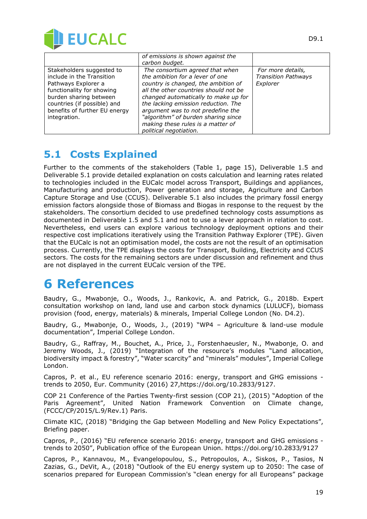

|                               | of emissions is shown against the     |                            |
|-------------------------------|---------------------------------------|----------------------------|
|                               | carbon budget.                        |                            |
| Stakeholders suggested to     | The consortium agreed that when       | For more details,          |
| include in the Transition     | the ambition for a lever of one       | <b>Transition Pathways</b> |
| Pathways Explorer a           | country is changed, the ambition of   | Explorer                   |
| functionality for showing     | all the other countries should not be |                            |
| burden sharing between        | changed automatically to make up for  |                            |
| countries (if possible) and   | the lacking emission reduction. The   |                            |
| benefits of further EU energy | argument was to not predefine the     |                            |
| integration.                  | "algorithm" of burden sharing since   |                            |
|                               | making these rules is a matter of     |                            |
|                               | political negotiation.                |                            |

### **5.1 Costs Explained**

Further to the comments of the stakeholders (Table 1, page 15), Deliverable 1.5 and Deliverable 5.1 provide detailed explanation on costs calculation and learning rates related to technologies included in the EUCalc model across Transport, Buildings and appliances, Manufacturing and production, Power generation and storage, Agriculture and Carbon Capture Storage and Use (CCUS). Deliverable 5.1 also includes the primary fossil energy emission factors alongside those of Biomass and Biogas in response to the request by the stakeholders. The consortium decided to use predefined technology costs assumptions as documented in Deliverable 1.5 and 5.1 and not to use a lever approach in relation to cost. Nevertheless, end users can explore various technology deployment options and their respective cost implications iteratively using the Transition Pathway Explorer (TPE). Given that the EUCalc is not an optimisation model, the costs are not the result of an optimisation process. Currently, the TPE displays the costs for Transport, Building, Electricity and CCUS sectors. The costs for the remaining sectors are under discussion and refinement and thus are not displayed in the current EUCalc version of the TPE.

# **6 References**

Baudry, G., Mwabonje, O., Woods, J., Rankovic, A. and Patrick, G., 2018b. Expert consultation workshop on land, land use and carbon stock dynamics (LULUCF), biomass provision (food, energy, materials) & minerals, Imperial College London (No. D4.2).

Baudry, G., Mwabonje, O., Woods, J., (2019) "WP4 – Agriculture & land-use module documentation", Imperial College London.

Baudry, G., Raffray, M., Bouchet, A., Price, J., Forstenhaeusler, N., Mwabonje, O. and Jeremy Woods, J., (2019) "Integration of the resource's modules "Land allocation, biodiversity impact & forestry", "Water scarcity" and "minerals" modules", Imperial College London.

Capros, P. et al., EU reference scenario 2016: energy, transport and GHG emissions trends to 2050, Eur. Community (2016) 27,https://doi.org/10.2833/9127.

COP 21 Conference of the Parties Twenty-first session (COP 21), (2015) "Adoption of the Paris Agreement", United Nation Framework Convention on Climate change, (FCCC/CP/2015/L.9/Rev.1) Paris.

Climate KIC, (2018) "Bridging the Gap between Modelling and New Policy Expectations", Briefing paper.

Capros, P., (2016) "EU reference scenario 2016: energy, transport and GHG emissions trends to 2050", Publication office of the European Union. https://doi.org/10.2833/9127

Capros, P., Kannavou, M., Evangelopoulou, S., Petropoulos, A., Siskos, P., Tasios, N Zazias, G., DeVit, A., (2018) "Outlook of the EU energy system up to 2050: The case of scenarios prepared for European Commission's "clean energy for all Europeans" package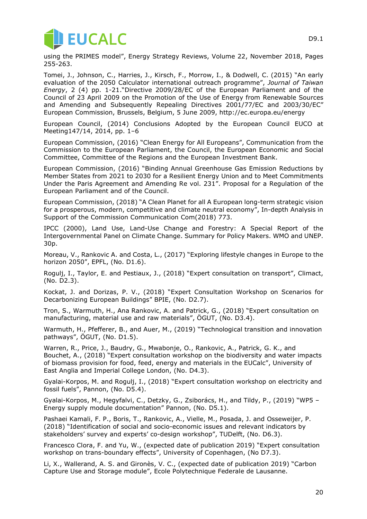

using the PRIMES model", Energy Strategy Reviews, Volume 22, November 2018, Pages 255-263.

Tomei, J., Johnson, C., Harries, J., Kirsch, F., Morrow, I., & Dodwell, C. (2015) "An [early](https://iris.ucl.ac.uk/iris/publication/1079607/1) evaluation of the 2050 Calculator [international](https://iris.ucl.ac.uk/iris/publication/1079607/1) outreach programme", *Journal of Taiwan Energy*, 2 (4) pp. 1-21."Directive 2009/28/EC of the European Parliament and of the Council of 23 April 2009 on the Promotion of the Use of Energy from Renewable Sources and Amending and Subsequently Repealing Directives 2001/77/EC and 2003/30/EC" European Commission, Brussels, Belgium, 5 June 2009, http://ec.europa.eu/energy

European Council, (2014) Conclusions Adopted by the European Council EUCO at Meeting147/14, 2014, pp. 1–6

European Commission, (2016) "Clean Energy for All Europeans", Communication from the Commission to the European Parliament, the Council, the European Economic and Social Committee, Committee of the Regions and the European Investment Bank.

European Commission, (2016) "Binding Annual Greenhouse Gas Emission Reductions by Member States from 2021 to 2030 for a Resilient Energy Union and to Meet Commitments Under the Paris Agreement and Amending Re vol. 231". Proposal for a Regulation of the European Parliament and of the Council.

European Commission, (2018) "A Clean Planet for all A European long-term strategic vision for a prosperous, modern, competitive and climate neutral economy", In-depth Analysis in Support of the Commission Communication Com(2018) 773.

IPCC (2000), Land Use, Land-Use Change and Forestry: A Special Report of the Intergovernmental Panel on Climate Change. Summary for Policy Makers. WMO and UNEP. 30p.

Moreau, V., Rankovic A. and Costa, L., (2017) "Exploring lifestyle changes in Europe to the horizon 2050", EPFL, (No. D1.6).

Rogulj, I., Taylor, E. and Pestiaux, J., (2018) "Expert consultation on transport", Climact, (No. D2.3).

Kockat, J. and Dorizas, P. V., (2018) "Expert Consultation Workshop on Scenarios for Decarbonizing European Buildings" BPIE, (No. D2.7).

Tron, S., Warmuth, H., Ana Rankovic, A. and Patrick, G., (2018) "Expert consultation on manufacturing, material use and raw materials", ÖGUT, (No. D3.4).

Warmuth, H., Pfefferer, B., and Auer, M., (2019) "Technological transition and innovation pathways", ÖGUT, (No. D1.5).

Warren, R., Price, J., Baudry, G., Mwabonje, O., Rankovic, A., Patrick, G. K., and Bouchet, A., (2018) "Expert consultation workshop on the biodiversity and water impacts of biomass provision for food, feed, energy and materials in the EUCalc", University of East Anglia and Imperial College London, (No. D4.3).

Gyalai-Korpos, M. and Rogulj, I., (2018) "Expert consultation workshop on electricity and fossil fuels", Pannon, (No. D5.4).

Gyalai-Korpos, M., Hegyfalvi, C., Detzky, G., Zsiborács, H., and Tildy, P., (2019) "WP5 – Energy supply module documentation" Pannon, (No. D5.1).

Pashaei Kamali, F. P., Boris, T., Rankovic, A., Vielle, M., Posada, J. and Osseweijer, P. (2018) "Identification of social and socio-economic issues and relevant indicators by stakeholders' survey and experts' co-design workshop", TUDelft, (No. D6.3).

Francesco Clora, F. and Yu, W., (expected date of publication 2019) "Expert consultation workshop on trans-boundary effects", University of Copenhagen, (No D7.3).

Li, X., Wallerand, A. S. and Gironès, V. C., (expected date of publication 2019) "Carbon Capture Use and Storage module", Ecole Polytechnique Federale de Lausanne.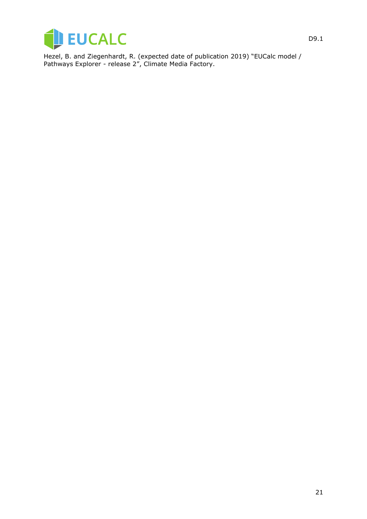

Hezel, B. and Ziegenhardt, R. (expected date of publication 2019) "EUCalc model / Pathways Explorer - release 2", Climate Media Factory.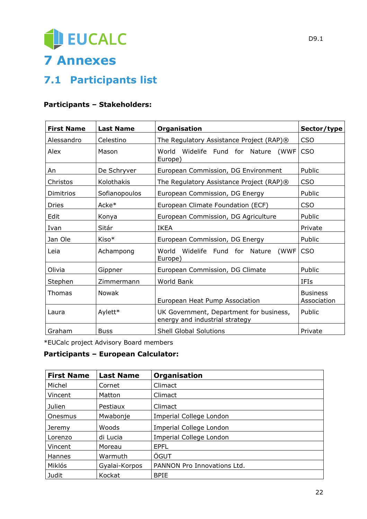# EUCALC **7 Annexes**

## **7.1 Participants list**

#### **Participants – Stakeholders:**

| <b>First Name</b> | <b>Last Name</b> | Organisation                                                              | Sector/type                    |
|-------------------|------------------|---------------------------------------------------------------------------|--------------------------------|
|                   |                  |                                                                           |                                |
| Alessandro        | Celestino        | The Regulatory Assistance Project (RAP)®                                  | <b>CSO</b>                     |
| Alex              | Mason            | (WWF<br>World Widelife Fund for<br>Nature<br>Europe)                      | <b>CSO</b>                     |
| An                | De Schryver      | European Commission, DG Environment                                       | Public                         |
| Christos          | Kolothakis       | The Regulatory Assistance Project (RAP)®                                  | <b>CSO</b>                     |
| Dimitrios         | Sofianopoulos    | European Commission, DG Energy                                            | Public                         |
| <b>Dries</b>      | Acke*            | European Climate Foundation (ECF)                                         | <b>CSO</b>                     |
| Edit              | Konya            | European Commission, DG Agriculture                                       | Public                         |
| Ivan              | Sitár            | <b>IKEA</b>                                                               | Private                        |
| Jan Ole           | Kiso*            | European Commission, DG Energy                                            | Public                         |
| Leia              | Achampong        | (WWF<br>World<br>Widelife Fund for<br>Nature<br>Europe)                   | <b>CSO</b>                     |
| Olivia            | Gippner          | European Commission, DG Climate                                           | Public                         |
| Stephen           | Zimmermann       | World Bank                                                                | <b>IFIs</b>                    |
| <b>Thomas</b>     | Nowak            | European Heat Pump Association                                            | <b>Business</b><br>Association |
| Laura             | Aylett*          | UK Government, Department for business,<br>energy and industrial strategy | Public                         |
| Graham            | <b>Buss</b>      | <b>Shell Global Solutions</b>                                             | Private                        |

\*EUCalc project Advisory Board members

#### **Participants – European Calculator:**

| <b>First Name</b> | <b>Last Name</b> | Organisation                |
|-------------------|------------------|-----------------------------|
| Michel            | Cornet           | Climact                     |
| Vincent           | Matton           | Climact                     |
| Julien            | Pestiaux         | Climact                     |
| Onesmus           | Mwabonje         | Imperial College London     |
| Jeremy            | Woods            | Imperial College London     |
| Lorenzo           | di Lucia         | Imperial College London     |
| Vincent           | Moreau           | <b>EPFL</b>                 |
| Hannes            | Warmuth          | ÖGUT                        |
| Miklós            | Gyalai-Korpos    | PANNON Pro Innovations Ltd. |
| Judit             | Kockat           | <b>BPIE</b>                 |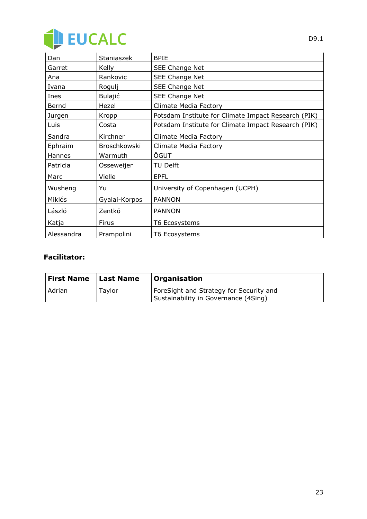

| Dan        | Staniaszek     | <b>BPIE</b>                                         |
|------------|----------------|-----------------------------------------------------|
| Garret     | Kelly          | SEE Change Net                                      |
| Ana        | Rankovic       | SEE Change Net                                      |
| Ivana      | Rogulj         | SEE Change Net                                      |
| Ines       | <b>Bulajić</b> | SEE Change Net                                      |
| Bernd      | Hezel          | Climate Media Factory                               |
| Jurgen     | Kropp          | Potsdam Institute for Climate Impact Research (PIK) |
| Luis       | Costa          | Potsdam Institute for Climate Impact Research (PIK) |
| Sandra     | Kirchner       | Climate Media Factory                               |
| Ephraim    | Broschkowski   | Climate Media Factory                               |
| Hannes     | Warmuth        | ÖGUT                                                |
| Patricia   | Osseweijer     | TU Delft                                            |
| Marc       | Vielle         | <b>EPFL</b>                                         |
| Wusheng    | Yu             | University of Copenhagen (UCPH)                     |
| Miklós     | Gyalai-Korpos  | <b>PANNON</b>                                       |
| László     | Zentkó         | <b>PANNON</b>                                       |
| Katja      | <b>Firus</b>   | T6 Ecosystems                                       |
| Alessandra | Prampolini     | T6 Ecosystems                                       |

#### **Facilitator:**

| <b>First Name</b> | <b>Last Name</b> | Organisation                                                                    |
|-------------------|------------------|---------------------------------------------------------------------------------|
| Adrian            | Taylor           | ForeSight and Strategy for Security and<br>Sustainability in Governance (4Sing) |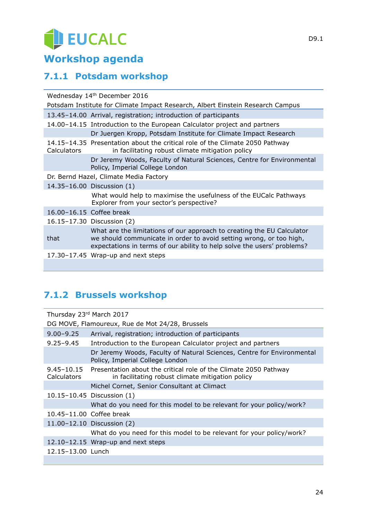# EUCALC

## **Workshop agenda**

### **7.1.1 Potsdam workshop**

| Wednesday 14th December 2016                                                   |                                                                                                                                                                                                                          |  |
|--------------------------------------------------------------------------------|--------------------------------------------------------------------------------------------------------------------------------------------------------------------------------------------------------------------------|--|
| Potsdam Institute for Climate Impact Research, Albert Einstein Research Campus |                                                                                                                                                                                                                          |  |
|                                                                                | 13.45-14.00 Arrival, registration; introduction of participants                                                                                                                                                          |  |
|                                                                                | 14.00-14.15 Introduction to the European Calculator project and partners                                                                                                                                                 |  |
|                                                                                | Dr Juergen Kropp, Potsdam Institute for Climate Impact Research                                                                                                                                                          |  |
| Calculators                                                                    | 14.15-14.35 Presentation about the critical role of the Climate 2050 Pathway<br>in facilitating robust climate mitigation policy                                                                                         |  |
|                                                                                | Dr Jeremy Woods, Faculty of Natural Sciences, Centre for Environmental<br>Policy, Imperial College London                                                                                                                |  |
| Dr. Bernd Hazel, Climate Media Factory                                         |                                                                                                                                                                                                                          |  |
|                                                                                | 14.35-16.00 Discussion (1)                                                                                                                                                                                               |  |
|                                                                                | What would help to maximise the usefulness of the EUCalc Pathways<br>Explorer from your sector's perspective?                                                                                                            |  |
|                                                                                | 16.00-16.15 Coffee break                                                                                                                                                                                                 |  |
|                                                                                | 16.15-17.30 Discussion (2)                                                                                                                                                                                               |  |
| that                                                                           | What are the limitations of our approach to creating the EU Calculator<br>we should communicate in order to avoid setting wrong, or too high,<br>expectations in terms of our ability to help solve the users' problems? |  |
|                                                                                | 17.30-17.45 Wrap-up and next steps                                                                                                                                                                                       |  |
|                                                                                |                                                                                                                                                                                                                          |  |

### **7.1.2 Brussels workshop**

| Thursday 23rd March 2017                        |                                                                                                                      |  |
|-------------------------------------------------|----------------------------------------------------------------------------------------------------------------------|--|
| DG MOVE, Flamoureux, Rue de Mot 24/28, Brussels |                                                                                                                      |  |
| $9.00 - 9.25$                                   | Arrival, registration; introduction of participants                                                                  |  |
| $9.25 - 9.45$                                   | Introduction to the European Calculator project and partners                                                         |  |
|                                                 | Dr Jeremy Woods, Faculty of Natural Sciences, Centre for Environmental<br>Policy, Imperial College London            |  |
| $9.45 - 10.15$<br>Calculators                   | Presentation about the critical role of the Climate 2050 Pathway<br>in facilitating robust climate mitigation policy |  |
|                                                 | Michel Cornet, Senior Consultant at Climact                                                                          |  |
|                                                 | 10.15-10.45 Discussion (1)                                                                                           |  |
|                                                 | What do you need for this model to be relevant for your policy/work?                                                 |  |
|                                                 | 10.45-11.00 Coffee break                                                                                             |  |
|                                                 | 11.00-12.10 Discussion (2)                                                                                           |  |
|                                                 | What do you need for this model to be relevant for your policy/work?                                                 |  |
|                                                 | 12.10-12.15 Wrap-up and next steps                                                                                   |  |
| 12.15-13.00 Lunch                               |                                                                                                                      |  |
|                                                 |                                                                                                                      |  |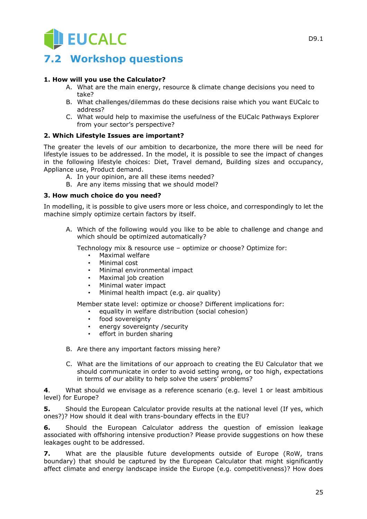## **7.2 Workshop questions**

#### **1. How will you use the Calculator?**

- A. What are the main energy, resource & climate change decisions you need to take?
- B. What challenges/dilemmas do these decisions raise which you want EUCalc to address?
- C. What would help to maximise the usefulness of the EUCalc Pathways Explorer from your sector's perspective?

#### **2. Which Lifestyle Issues are important?**

The greater the levels of our ambition to decarbonize, the more there will be need for lifestyle issues to be addressed. In the model, it is possible to see the impact of changes in the following lifestyle choices: Diet, Travel demand, Building sizes and occupancy, Appliance use, Product demand.

- A. In your opinion, are all these items needed?
- B. Are any items missing that we should model?

#### **3. How much choice do you need?**

In modelling, it is possible to give users more or less choice, and correspondingly to let the machine simply optimize certain factors by itself.

A. Which of the following would you like to be able to challenge and change and which should be optimized automatically?

Technology mix & resource use – optimize or choose? Optimize for:

- Maximal welfare
- Minimal cost
- Minimal environmental impact
- Maximal job creation
- Minimal water impact
- Minimal health impact (e.g. air quality)

Member state level: optimize or choose? Different implications for:

- equality in welfare distribution (social cohesion)
- food sovereignty
- energy sovereignty /security
- effort in burden sharing
- B. Are there any important factors missing here?
- C. What are the limitations of our approach to creating the EU Calculator that we should communicate in order to avoid setting wrong, or too high, expectations in terms of our ability to help solve the users' problems?

**4**. What should we envisage as a reference scenario (e.g. level 1 or least ambitious level) for Europe?

**5.** Should the European Calculator provide results at the national level (If yes, which ones?)? How should it deal with trans-boundary effects in the EU?

**6.** Should the European Calculator address the question of emission leakage associated with offshoring intensive production? Please provide suggestions on how these leakages ought to be addressed.

**7.** What are the plausible future developments outside of Europe (RoW, trans boundary) that should be captured by the European Calculator that might significantly affect climate and energy landscape inside the Europe (e.g. competitiveness)? How does